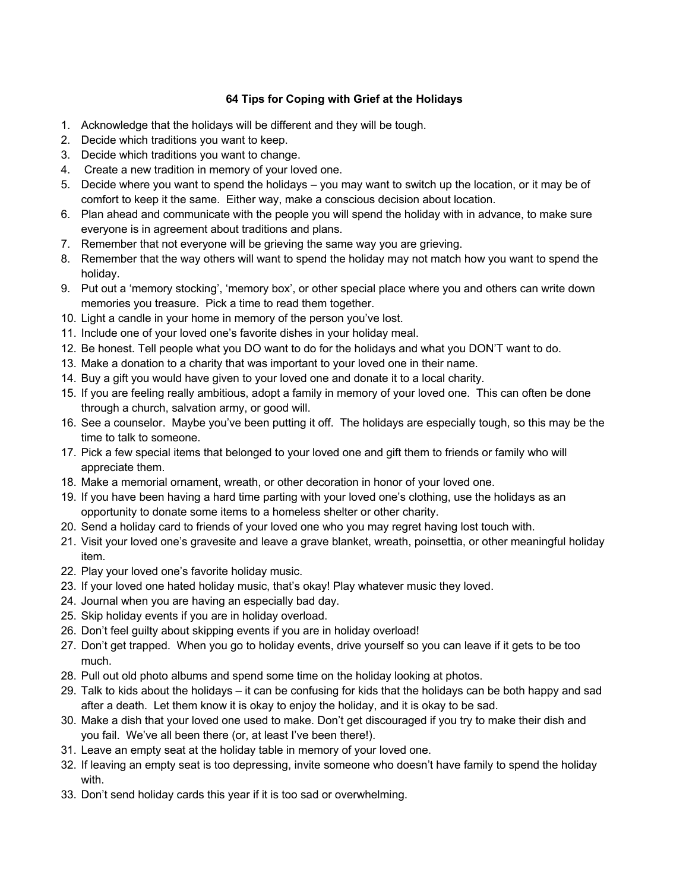## **64 Tips for Coping with Grief at the Holidays**

- 1. Acknowledge that the holidays will be different and they will be tough.
- 2. Decide which traditions you want to keep.
- 3. Decide which traditions you want to change.
- 4. Create a new tradition in memory of your loved one.
- 5. Decide where you want to spend the holidays you may want to switch up the location, or it may be of comfort to keep it the same. Either way, make a conscious decision about location.
- 6. Plan ahead and communicate with the people you will spend the holiday with in advance, to make sure everyone is in agreement about traditions and plans.
- 7. Remember that not everyone will be grieving the same way you are grieving.
- 8. Remember that the way others will want to spend the holiday may not match how you want to spend the holiday.
- 9. Put out a 'memory stocking', 'memory box', or other special place where you and others can write down memories you treasure. Pick a time to read them together.
- 10. Light a candle in your home in memory of the person you've lost.
- 11. Include one of your loved one's favorite dishes in your holiday meal.
- 12. Be honest. Tell people what you DO want to do for the holidays and what you DON'T want to do.
- 13. Make a donation to a charity that was important to your loved one in their name.
- 14. Buy a gift you would have given to your loved one and donate it to a local charity.
- 15. If you are feeling really ambitious, adopt a family in memory of your loved one. This can often be done through a church, salvation army, or good will.
- 16. See a counselor. Maybe you've been putting it off. The holidays are especially tough, so this may be the time to talk to someone.
- 17. Pick a few special items that belonged to your loved one and gift them to friends or family who will appreciate them.
- 18. Make a memorial ornament, wreath, or other decoration in honor of your loved one.
- 19. If you have been having a hard time parting with your loved one's clothing, use the holidays as an opportunity to donate some items to a homeless shelter or other charity.
- 20. Send a holiday card to friends of your loved one who you may regret having lost touch with.
- 21. Visit your loved one's gravesite and leave a grave blanket, wreath, poinsettia, or other meaningful holiday item.
- 22. Play your loved one's favorite holiday music.
- 23. If your loved one hated holiday music, that's okay! Play whatever music they loved.
- 24. Journal when you are having an especially bad day.
- 25. Skip holiday events if you are in holiday overload.
- 26. Don't feel guilty about skipping events if you are in holiday overload!
- 27. Don't get trapped. When you go to holiday events, drive yourself so you can leave if it gets to be too much.
- 28. Pull out old photo albums and spend some time on the holiday looking at photos.
- 29. Talk to kids about the holidays it can be confusing for kids that the holidays can be both happy and sad after a death. Let them know it is okay to enjoy the holiday, and it is okay to be sad.
- 30. Make a dish that your loved one used to make. Don't get discouraged if you try to make their dish and you fail. We've all been there (or, at least I've been there!).
- 31. Leave an empty seat at the holiday table in memory of your loved one.
- 32. If leaving an empty seat is too depressing, invite someone who doesn't have family to spend the holiday with.
- 33. Don't send holiday cards this year if it is too sad or overwhelming.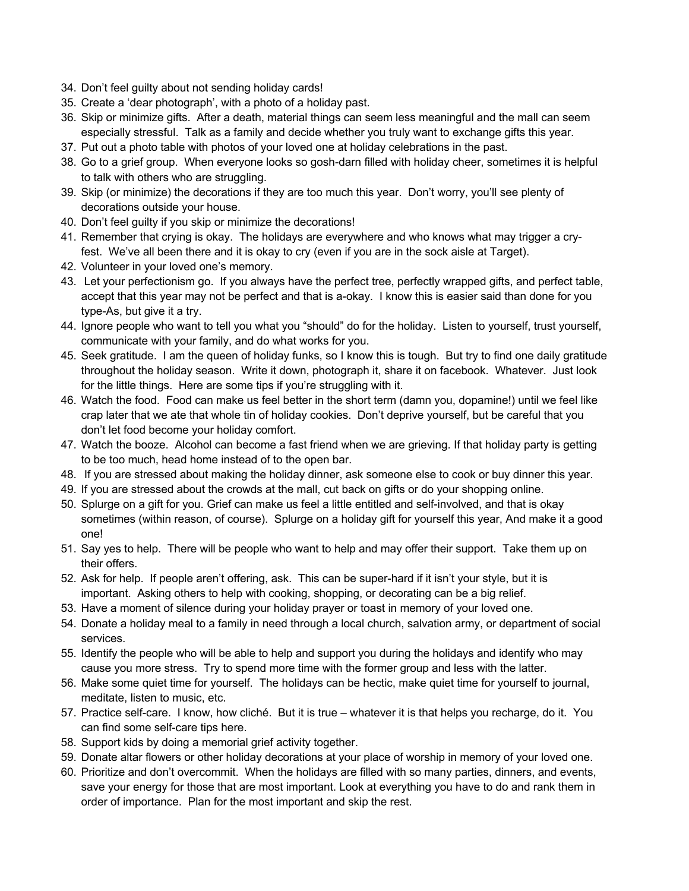- 34. Don't feel guilty about not sending holiday cards!
- 35. Create a 'dear photograph', with a photo of a holiday past.
- 36. Skip or minimize gifts. After a death, material things can seem less meaningful and the mall can seem especially stressful. Talk as a family and decide whether you truly want to exchange gifts this year.
- 37. Put out a photo table with photos of your loved one at holiday celebrations in the past.
- 38. Go to a grief group. When everyone looks so gosh-darn filled with holiday cheer, sometimes it is helpful to talk with others who are struggling.
- 39. Skip (or minimize) the decorations if they are too much this year. Don't worry, you'll see plenty of decorations outside your house.
- 40. Don't feel guilty if you skip or minimize the decorations!
- 41. Remember that crying is okay. The holidays are everywhere and who knows what may trigger a cryfest. We've all been there and it is okay to cry (even if you are in the sock aisle at Target).
- 42. Volunteer in your loved one's memory.
- 43. Let your perfectionism go. If you always have the perfect tree, perfectly wrapped gifts, and perfect table, accept that this year may not be perfect and that is a-okay. I know this is easier said than done for you type-As, but give it a try.
- 44. Ignore people who want to tell you what you "should" do for the holiday. Listen to yourself, trust yourself, communicate with your family, and do what works for you.
- 45. Seek gratitude. I am the queen of holiday funks, so I know this is tough. But try to find one daily gratitude throughout the holiday season. Write it down, photograph it, share it on facebook. Whatever. Just look for the little things. Here are some tips if you're struggling with it.
- 46. Watch the food. Food can make us feel better in the short term (damn you, dopamine!) until we feel like crap later that we ate that whole tin of holiday cookies. Don't deprive yourself, but be careful that you don't let food become your holiday comfort.
- 47. Watch the booze. Alcohol can become a fast friend when we are grieving. If that holiday party is getting to be too much, head home instead of to the open bar.
- 48. If you are stressed about making the holiday dinner, ask someone else to cook or buy dinner this year.
- 49. If you are stressed about the crowds at the mall, cut back on gifts or do your shopping online.
- 50. Splurge on a gift for you. Grief can make us feel a little entitled and self-involved, and that is okay sometimes (within reason, of course). Splurge on a holiday gift for yourself this year, And make it a good one!
- 51. Say yes to help. There will be people who want to help and may offer their support. Take them up on their offers.
- 52. Ask for help. If people aren't offering, ask. This can be super-hard if it isn't your style, but it is important. Asking others to help with cooking, shopping, or decorating can be a big relief.
- 53. Have a moment of silence during your holiday prayer or toast in memory of your loved one.
- 54. Donate a holiday meal to a family in need through a local church, salvation army, or department of social services.
- 55. Identify the people who will be able to help and support you during the holidays and identify who may cause you more stress. Try to spend more time with the former group and less with the latter.
- 56. Make some quiet time for yourself. The holidays can be hectic, make quiet time for yourself to journal, meditate, listen to music, etc.
- 57. Practice self-care. I know, how cliché. But it is true whatever it is that helps you recharge, do it. You can find some self-care tips here.
- 58. Support kids by doing a memorial grief activity together.
- 59. Donate altar flowers or other holiday decorations at your place of worship in memory of your loved one.
- 60. Prioritize and don't overcommit. When the holidays are filled with so many parties, dinners, and events, save your energy for those that are most important. Look at everything you have to do and rank them in order of importance. Plan for the most important and skip the rest.